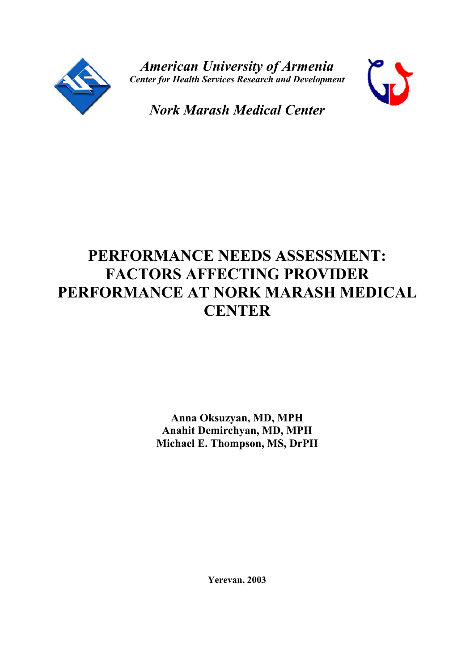

*American University of Armenia Center for Health Services Research and Development*



*Nork Marash Medical Center*

# **PERFORMANCE NEEDS ASSESSMENT: FACTORS AFFECTING PROVIDER PERFORMANCE AT NORK MARASH MEDICAL CENTER**

**Anna Oksuzyan, MD, MPH Anahit Demirchyan, MD, MPH Michael E. Thompson, MS, DrPH**

**Yerevan, 2003**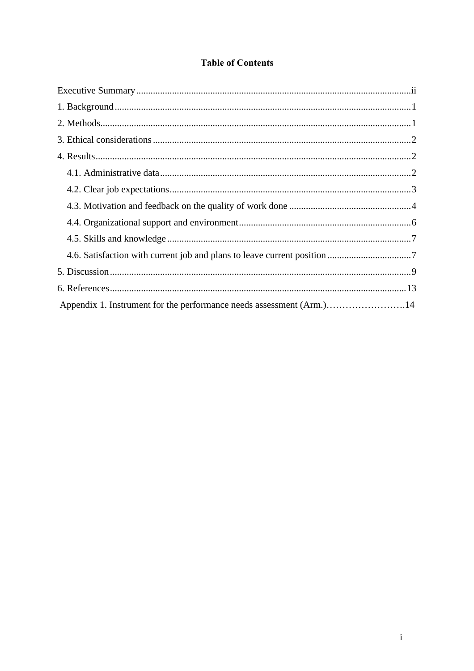# **Table of Contents**

| Appendix 1. Instrument for the performance needs assessment (Arm.)14 |  |
|----------------------------------------------------------------------|--|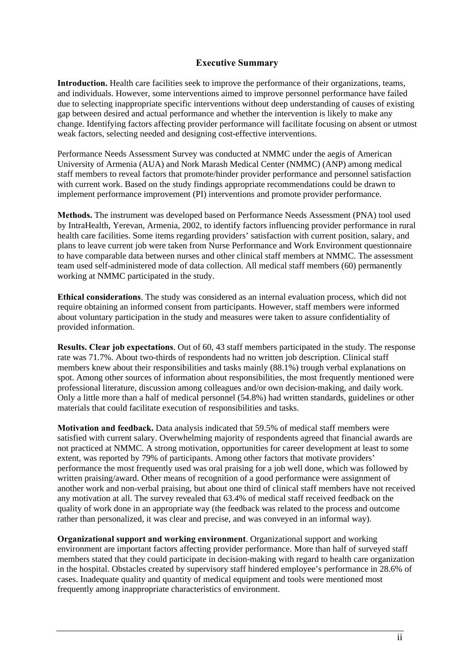#### **Executive Summary**

**Introduction.** Health care facilities seek to improve the performance of their organizations, teams, and individuals. However, some interventions aimed to improve personnel performance have failed due to selecting inappropriate specific interventions without deep understanding of causes of existing gap between desired and actual performance and whether the intervention is likely to make any change. Identifying factors affecting provider performance will facilitate focusing on absent or utmost weak factors, selecting needed and designing cost-effective interventions.

Performance Needs Assessment Survey was conducted at NMMC under the aegis of American University of Armenia (AUA) and Nork Marash Medical Center (NMMC) (ANP) among medical staff members to reveal factors that promote/hinder provider performance and personnel satisfaction with current work. Based on the study findings appropriate recommendations could be drawn to implement performance improvement (PI) interventions and promote provider performance.

**Methods.** The instrument was developed based on Performance Needs Assessment (PNA) tool used by IntraHealth, Yerevan, Armenia, 2002, to identify factors influencing provider performance in rural health care facilities. Some items regarding providers' satisfaction with current position, salary, and plans to leave current job were taken from Nurse Performance and Work Environment questionnaire to have comparable data between nurses and other clinical staff members at NMMC. The assessment team used self-administered mode of data collection. All medical staff members (60) permanently working at NMMC participated in the study.

**Ethical considerations**. The study was considered as an internal evaluation process, which did not require obtaining an informed consent from participants. However, staff members were informed about voluntary participation in the study and measures were taken to assure confidentiality of provided information.

**Results. Clear job expectations**. Out of 60, 43 staff members participated in the study. The response rate was 71.7%. About two-thirds of respondents had no written job description. Clinical staff members knew about their responsibilities and tasks mainly (88.1%) trough verbal explanations on spot. Among other sources of information about responsibilities, the most frequently mentioned were professional literature, discussion among colleagues and/or own decision-making, and daily work. Only a little more than a half of medical personnel (54.8%) had written standards, guidelines or other materials that could facilitate execution of responsibilities and tasks.

**Motivation and feedback.** Data analysis indicated that 59.5% of medical staff members were satisfied with current salary. Overwhelming majority of respondents agreed that financial awards are not practiced at NMMC. A strong motivation, opportunities for career development at least to some extent, was reported by 79% of participants. Among other factors that motivate providers' performance the most frequently used was oral praising for a job well done, which was followed by written praising/award. Other means of recognition of a good performance were assignment of another work and non-verbal praising, but about one third of clinical staff members have not received any motivation at all. The survey revealed that 63.4% of medical staff received feedback on the quality of work done in an appropriate way (the feedback was related to the process and outcome rather than personalized, it was clear and precise, and was conveyed in an informal way).

**Organizational support and working environment**. Organizational support and working environment are important factors affecting provider performance. More than half of surveyed staff members stated that they could participate in decision-making with regard to health care organization in the hospital. Obstacles created by supervisory staff hindered employee's performance in 28.6% of cases. Inadequate quality and quantity of medical equipment and tools were mentioned most frequently among inappropriate characteristics of environment.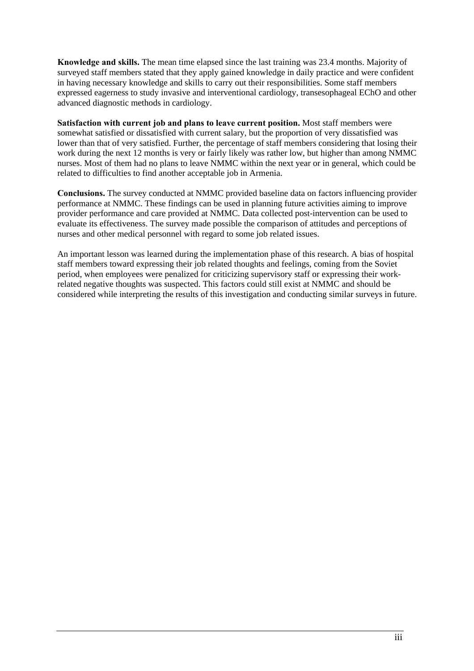**Knowledge and skills.** The mean time elapsed since the last training was 23.4 months. Majority of surveyed staff members stated that they apply gained knowledge in daily practice and were confident in having necessary knowledge and skills to carry out their responsibilities. Some staff members expressed eagerness to study invasive and interventional cardiology, transesophageal EChO and other advanced diagnostic methods in cardiology.

**Satisfaction with current job and plans to leave current position.** Most staff members were somewhat satisfied or dissatisfied with current salary, but the proportion of very dissatisfied was lower than that of very satisfied. Further, the percentage of staff members considering that losing their work during the next 12 months is very or fairly likely was rather low, but higher than among NMMC nurses. Most of them had no plans to leave NMMC within the next year or in general, which could be related to difficulties to find another acceptable job in Armenia.

**Conclusions.** The survey conducted at NMMC provided baseline data on factors influencing provider performance at NMMC. These findings can be used in planning future activities aiming to improve provider performance and care provided at NMMC. Data collected post-intervention can be used to evaluate its effectiveness. The survey made possible the comparison of attitudes and perceptions of nurses and other medical personnel with regard to some job related issues.

An important lesson was learned during the implementation phase of this research. A bias of hospital staff members toward expressing their job related thoughts and feelings, coming from the Soviet period, when employees were penalized for criticizing supervisory staff or expressing their workrelated negative thoughts was suspected. This factors could still exist at NMMC and should be considered while interpreting the results of this investigation and conducting similar surveys in future.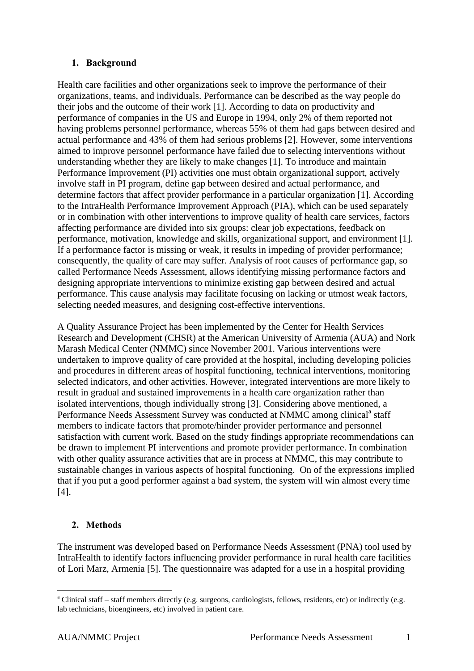#### **1. Background**

Health care facilities and other organizations seek to improve the performance of their organizations, teams, and individuals. Performance can be described as the way people do their jobs and the outcome of their work [1]. According to data on productivity and performance of companies in the US and Europe in 1994, only 2% of them reported not having problems personnel performance, whereas 55% of them had gaps between desired and actual performance and 43% of them had serious problems [2]. However, some interventions aimed to improve personnel performance have failed due to selecting interventions without understanding whether they are likely to make changes [1]. To introduce and maintain Performance Improvement (PI) activities one must obtain organizational support, actively involve staff in PI program, define gap between desired and actual performance, and determine factors that affect provider performance in a particular organization [1]. According to the IntraHealth Performance Improvement Approach (PIA), which can be used separately or in combination with other interventions to improve quality of health care services, factors affecting performance are divided into six groups: clear job expectations, feedback on performance, motivation, knowledge and skills, organizational support, and environment [1]. If a performance factor is missing or weak, it results in impeding of provider performance; consequently, the quality of care may suffer. Analysis of root causes of performance gap, so called Performance Needs Assessment, allows identifying missing performance factors and designing appropriate interventions to minimize existing gap between desired and actual performance. This cause analysis may facilitate focusing on lacking or utmost weak factors, selecting needed measures, and designing cost-effective interventions.

A Quality Assurance Project has been implemented by the Center for Health Services Research and Development (CHSR) at the American University of Armenia (AUA) and Nork Marash Medical Center (NMMC) since November 2001. Various interventions were undertaken to improve quality of care provided at the hospital, including developing policies and procedures in different areas of hospital functioning, technical interventions, monitoring selected indicators, and other activities. However, integrated interventions are more likely to result in gradual and sustained improvements in a health care organization rather than isolated interventions, though individually strong [3]. Considering above mentioned, a Performance Needs Assessment Survey was conducted at NMMC among clinical<sup>a</sup> staff members to indicate factors that promote/hinder provider performance and personnel satisfaction with current work. Based on the study findings appropriate recommendations can be drawn to implement PI interventions and promote provider performance. In combination with other quality assurance activities that are in process at NMMC, this may contribute to sustainable changes in various aspects of hospital functioning. On of the expressions implied that if you put a good performer against a bad system, the system will win almost every time [4].

#### **2. Methods**

The instrument was developed based on Performance Needs Assessment (PNA) tool used by IntraHealth to identify factors influencing provider performance in rural health care facilities of Lori Marz, Armenia [5]. The questionnaire was adapted for a use in a hospital providing

 $\overline{a}$ <sup>a</sup> Clinical staff – staff members directly (e.g. surgeons, cardiologists, fellows, residents, etc) or indirectly (e.g. lab technicians, bioengineers, etc) involved in patient care.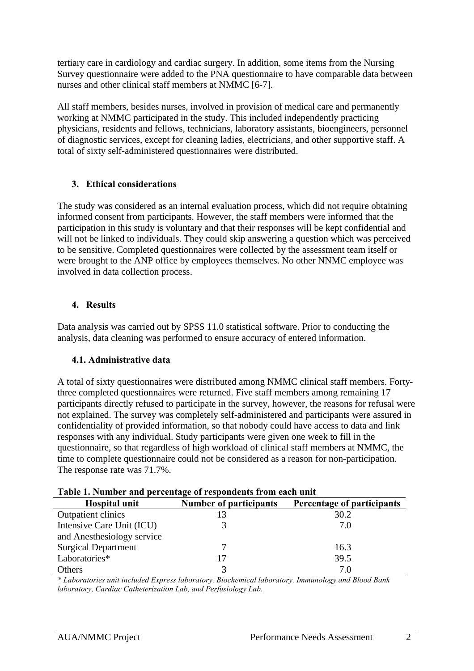tertiary care in cardiology and cardiac surgery. In addition, some items from the Nursing Survey questionnaire were added to the PNA questionnaire to have comparable data between nurses and other clinical staff members at NMMC [6-7].

All staff members, besides nurses, involved in provision of medical care and permanently working at NMMC participated in the study. This included independently practicing physicians, residents and fellows, technicians, laboratory assistants, bioengineers, personnel of diagnostic services, except for cleaning ladies, electricians, and other supportive staff. A total of sixty self-administered questionnaires were distributed.

#### **3. Ethical considerations**

The study was considered as an internal evaluation process, which did not require obtaining informed consent from participants. However, the staff members were informed that the participation in this study is voluntary and that their responses will be kept confidential and will not be linked to individuals. They could skip answering a question which was perceived to be sensitive. Completed questionnaires were collected by the assessment team itself or were brought to the ANP office by employees themselves. No other NNMC employee was involved in data collection process.

#### **4. Results**

Data analysis was carried out by SPSS 11.0 statistical software. Prior to conducting the analysis, data cleaning was performed to ensure accuracy of entered information.

#### **4.1. Administrative data**

A total of sixty questionnaires were distributed among NMMC clinical staff members. Fortythree completed questionnaires were returned. Five staff members among remaining 17 participants directly refused to participate in the survey, however, the reasons for refusal were not explained. The survey was completely self-administered and participants were assured in confidentiality of provided information, so that nobody could have access to data and link responses with any individual. Study participants were given one week to fill in the questionnaire, so that regardless of high workload of clinical staff members at NMMC, the time to complete questionnaire could not be considered as a reason for non-participation. The response rate was 71.7%.

| <b>Table 1. Number and percentage of respondents from each unit</b> |                               |                            |  |  |
|---------------------------------------------------------------------|-------------------------------|----------------------------|--|--|
| <b>Hospital unit</b>                                                | <b>Number of participants</b> | Percentage of participants |  |  |
| <b>Outpatient clinics</b>                                           |                               | 30.2                       |  |  |
| Intensive Care Unit (ICU)                                           |                               | 7.0                        |  |  |
| and Anesthesiology service                                          |                               |                            |  |  |
| <b>Surgical Department</b>                                          |                               | 16.3                       |  |  |
| Laboratories*                                                       | 17                            | 39.5                       |  |  |
| Others                                                              |                               | 7.0                        |  |  |

| Table 1. Number and percentage of respondents from each unit |  |  |
|--------------------------------------------------------------|--|--|
|                                                              |  |  |

*\* Laboratories unit included Express laboratory, Biochemical laboratory, Immunology and Blood Bank laboratory, Cardiac Catheterization Lab, and Perfusiology Lab.*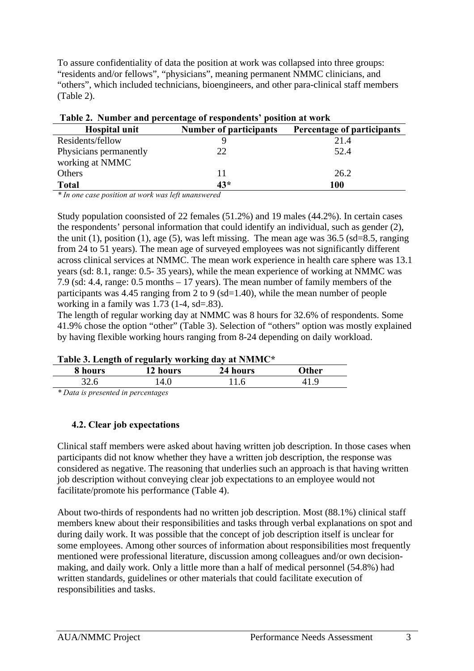To assure confidentiality of data the position at work was collapsed into three groups: "residents and/or fellows", "physicians", meaning permanent NMMC clinicians, and "others", which included technicians, bioengineers, and other para-clinical staff members (Table 2).

| Table 2. Number and percentage of respondents' position at work |                               |                            |  |  |
|-----------------------------------------------------------------|-------------------------------|----------------------------|--|--|
| <b>Hospital unit</b>                                            | <b>Number of participants</b> | Percentage of participants |  |  |
| Residents/fellow                                                |                               | 21.4                       |  |  |
| Physicians permanently                                          | 22                            | 52.4                       |  |  |
| working at NMMC                                                 |                               |                            |  |  |
| <b>Others</b>                                                   | 11                            | 26.2                       |  |  |
| <b>Total</b>                                                    | $43*$                         | 100                        |  |  |

*\* In one case position at work was left unanswered*

Study population coonsisted of 22 females (51.2%) and 19 males (44.2%). In certain cases the respondents' personal information that could identify an individual, such as gender (2), the unit (1), position (1), age (5), was left missing. The mean age was  $36.5$  (sd=8.5, ranging from 24 to 51 years). The mean age of surveyed employees was not significantly different across clinical services at NMMC. The mean work experience in health care sphere was 13.1 years (sd: 8.1, range: 0.5- 35 years), while the mean experience of working at NMMC was 7.9 (sd: 4.4, range: 0.5 months – 17 years). The mean number of family members of the participants was 4.45 ranging from 2 to 9 (sd=1.40), while the mean number of people working in a family was  $1.73$  (1-4, sd=.83).

The length of regular working day at NMMC was 8 hours for 32.6% of respondents. Some 41.9% chose the option "other" (Table 3). Selection of "others" option was mostly explained by having flexible working hours ranging from 8-24 depending on daily workload.

| Table 3. Length of regularly working day at NMMC* |  |  |  |  |
|---------------------------------------------------|--|--|--|--|
|---------------------------------------------------|--|--|--|--|

| Table 5. Extigen of regularly working uay at infinite                                                                                                                                                                                                         |          |          |       |
|---------------------------------------------------------------------------------------------------------------------------------------------------------------------------------------------------------------------------------------------------------------|----------|----------|-------|
| 8 hours                                                                                                                                                                                                                                                       | 12 hours | 24 hours | Other |
| 32.6                                                                                                                                                                                                                                                          | 14.0     | 11.6     |       |
| $*$ D $_{24}$ $_{35}$ $_{37}$ $_{38}$ $_{49}$ $_{41}$ $_{42}$ $_{43}$ $_{44}$ $_{45}$ $_{48}$ $_{49}$ $_{40}$ $_{40}$ $_{40}$ $_{40}$ $_{40}$ $_{40}$ $_{40}$ $_{40}$ $_{40}$ $_{40}$ $_{40}$ $_{40}$ $_{40}$ $_{40}$ $_{40}$ $_{40}$ $_{40}$ $_{40}$ $_{40}$ |          |          |       |

*\* Data is presented in percentages*

#### **4.2. Clear job expectations**

Clinical staff members were asked about having written job description. In those cases when participants did not know whether they have a written job description, the response was considered as negative. The reasoning that underlies such an approach is that having written job description without conveying clear job expectations to an employee would not facilitate/promote his performance (Table 4).

About two-thirds of respondents had no written job description. Most (88.1%) clinical staff members knew about their responsibilities and tasks through verbal explanations on spot and during daily work. It was possible that the concept of job description itself is unclear for some employees. Among other sources of information about responsibilities most frequently mentioned were professional literature, discussion among colleagues and/or own decisionmaking, and daily work. Only a little more than a half of medical personnel (54.8%) had written standards, guidelines or other materials that could facilitate execution of responsibilities and tasks.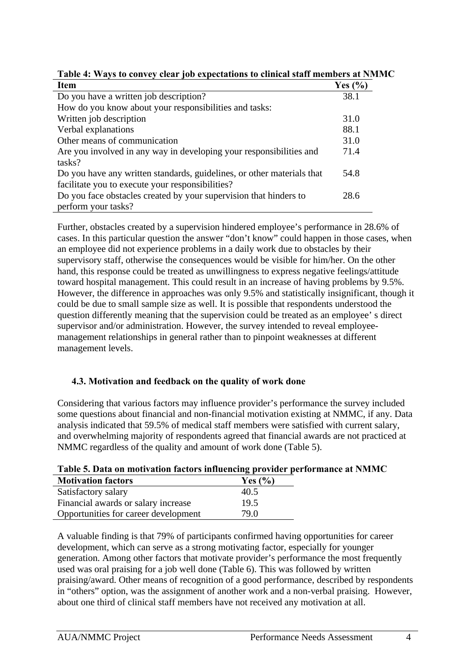| <b>Item</b>                                                            | Yes $(\% )$ |
|------------------------------------------------------------------------|-------------|
| Do you have a written job description?                                 | 38.1        |
| How do you know about your responsibilities and tasks:                 |             |
| Written job description                                                | 31.0        |
| Verbal explanations                                                    | 88.1        |
| Other means of communication                                           | 31.0        |
| Are you involved in any way in developing your responsibilities and    | 71.4        |
| tasks?                                                                 |             |
| Do you have any written standards, guidelines, or other materials that | 54.8        |
| facilitate you to execute your responsibilities?                       |             |
| Do you face obstacles created by your supervision that hinders to      | 28.6        |
| perform your tasks?                                                    |             |

|  |  |  | Table 4: Ways to convey clear job expectations to clinical staff members at NMMC |  |  |  |
|--|--|--|----------------------------------------------------------------------------------|--|--|--|
|--|--|--|----------------------------------------------------------------------------------|--|--|--|

Further, obstacles created by a supervision hindered employee's performance in 28.6% of cases. In this particular question the answer "don't know" could happen in those cases, when an employee did not experience problems in a daily work due to obstacles by their supervisory staff, otherwise the consequences would be visible for him/her. On the other hand, this response could be treated as unwillingness to express negative feelings/attitude toward hospital management. This could result in an increase of having problems by 9.5%. However, the difference in approaches was only 9.5% and statistically insignificant, though it could be due to small sample size as well. It is possible that respondents understood the question differently meaning that the supervision could be treated as an employee' s direct supervisor and/or administration. However, the survey intended to reveal employeemanagement relationships in general rather than to pinpoint weaknesses at different management levels.

#### **4.3. Motivation and feedback on the quality of work done**

Considering that various factors may influence provider's performance the survey included some questions about financial and non-financial motivation existing at NMMC, if any. Data analysis indicated that 59.5% of medical staff members were satisfied with current salary, and overwhelming majority of respondents agreed that financial awards are not practiced at NMMC regardless of the quality and amount of work done (Table 5).

| -------                              |                                |  |
|--------------------------------------|--------------------------------|--|
| <b>Motivation factors</b>            | Yes $\left(\frac{9}{6}\right)$ |  |
| Satisfactory salary                  | 40.5                           |  |
| Financial awards or salary increase  | 19.5                           |  |
| Opportunities for career development | 79.0                           |  |

#### **Table 5. Data on motivation factors influencing provider performance at NMMC**

A valuable finding is that 79% of participants confirmed having opportunities for career development, which can serve as a strong motivating factor, especially for younger generation. Among other factors that motivate provider's performance the most frequently used was oral praising for a job well done (Table 6). This was followed by written praising/award. Other means of recognition of a good performance, described by respondents in "others" option, was the assignment of another work and a non-verbal praising. However, about one third of clinical staff members have not received any motivation at all.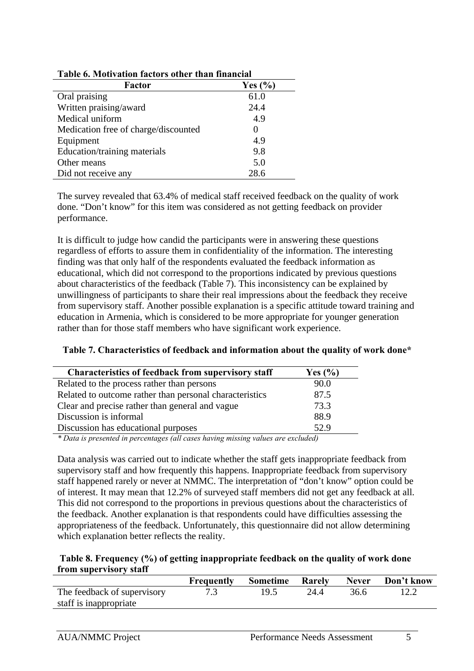| таріс о, ічонуацоп таспогэ опісі-піап пітапсіаг |                   |  |  |
|-------------------------------------------------|-------------------|--|--|
| <b>Factor</b>                                   | Yes $(\% )$       |  |  |
| Oral praising                                   | 61.0              |  |  |
| Written praising/award                          | 24.4              |  |  |
| Medical uniform                                 | 4.9               |  |  |
| Medication free of charge/discounted            | $\mathbf{\Omega}$ |  |  |
| Equipment                                       | 4.9               |  |  |
| Education/training materials                    | 9.8               |  |  |
| Other means                                     | 5.0               |  |  |
| Did not receive any                             | 28.6              |  |  |

**Table 6. Motivation factors other than financial** 

The survey revealed that 63.4% of medical staff received feedback on the quality of work done. "Don't know" for this item was considered as not getting feedback on provider performance.

It is difficult to judge how candid the participants were in answering these questions regardless of efforts to assure them in confidentiality of the information. The interesting finding was that only half of the respondents evaluated the feedback information as educational, which did not correspond to the proportions indicated by previous questions about characteristics of the feedback (Table 7). This inconsistency can be explained by unwillingness of participants to share their real impressions about the feedback they receive from supervisory staff. Another possible explanation is a specific attitude toward training and education in Armenia, which is considered to be more appropriate for younger generation rather than for those staff members who have significant work experience.

#### **Table 7. Characteristics of feedback and information about the quality of work done\***

| <b>Characteristics of feedback from supervisory staff</b> | Yes $(\% )$ |  |
|-----------------------------------------------------------|-------------|--|
| Related to the process rather than persons                | 90.0        |  |
| Related to outcome rather than personal characteristics   | 87.5        |  |
| Clear and precise rather than general and vague           | 73.3        |  |
| Discussion is informal                                    | 88.9        |  |
| Discussion has educational purposes                       | 52.9        |  |
| $\sim$ $\sim$                                             | $1 \quad 1$ |  |

*\* Data is presented in percentages (all cases having missing values are excluded)* 

Data analysis was carried out to indicate whether the staff gets inappropriate feedback from supervisory staff and how frequently this happens. Inappropriate feedback from supervisory staff happened rarely or never at NMMC. The interpretation of "don't know" option could be of interest. It may mean that 12.2% of surveyed staff members did not get any feedback at all. This did not correspond to the proportions in previous questions about the characteristics of the feedback. Another explanation is that respondents could have difficulties assessing the appropriateness of the feedback. Unfortunately, this questionnaire did not allow determining which explanation better reflects the reality.

#### **Table 8. Frequency (%) of getting inappropriate feedback on the quality of work done from supervisory staff**

|                             | <b>Frequently</b> Sometime Rarely |      |      | Never | Don't know |
|-----------------------------|-----------------------------------|------|------|-------|------------|
| The feedback of supervisory |                                   | 19.5 | 24.4 | 36.6  |            |
| staff is inappropriate      |                                   |      |      |       |            |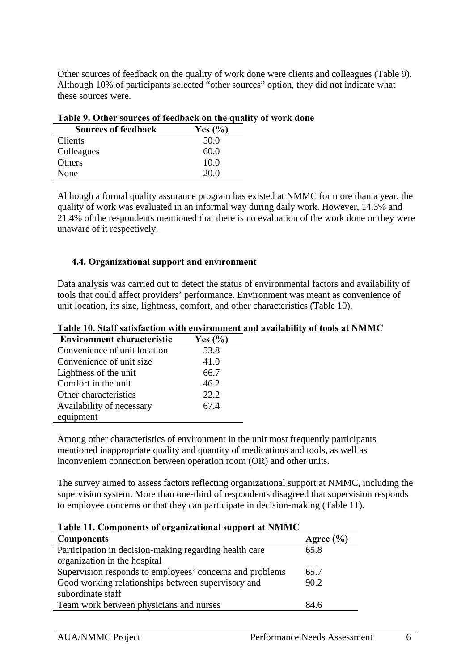Other sources of feedback on the quality of work done were clients and colleagues (Table 9). Although 10% of participants selected "other sources" option, they did not indicate what these sources were.

| <b>Sources of feedback</b> | Yes $(\% )$ |
|----------------------------|-------------|
| Clients                    | 50.0        |
| Colleagues                 | 60.0        |
| Others                     | 10.0        |
| None                       | 20.0        |

| Table 9. Other sources of feedback on the quality of work done |  |  |
|----------------------------------------------------------------|--|--|
|----------------------------------------------------------------|--|--|

Although a formal quality assurance program has existed at NMMC for more than a year, the quality of work was evaluated in an informal way during daily work. However, 14.3% and 21.4% of the respondents mentioned that there is no evaluation of the work done or they were unaware of it respectively.

#### **4.4. Organizational support and environment**

Data analysis was carried out to detect the status of environmental factors and availability of tools that could affect providers' performance. Environment was meant as convenience of unit location, its size, lightness, comfort, and other characteristics (Table 10).

| <b>Environment characteristic</b> | <b>Yes</b> (%) |
|-----------------------------------|----------------|
| Convenience of unit location      | 53.8           |
| Convenience of unit size          | 41.0           |
| Lightness of the unit             | 66.7           |
| Comfort in the unit               | 46.2           |
| Other characteristics             | 22.2.          |
| Availability of necessary         | 67.4           |
| equipment                         |                |

**Table 10. Staff satisfaction with environment and availability of tools at NMMC**

Among other characteristics of environment in the unit most frequently participants mentioned inappropriate quality and quantity of medications and tools, as well as inconvenient connection between operation room (OR) and other units.

The survey aimed to assess factors reflecting organizational support at NMMC, including the supervision system. More than one-third of respondents disagreed that supervision responds to employee concerns or that they can participate in decision-making (Table 11).

| Table 11. Components of organizational support at NMMC   |               |
|----------------------------------------------------------|---------------|
| <b>Components</b>                                        | Agree $(\% )$ |
| Participation in decision-making regarding health care   | 65.8          |
| organization in the hospital                             |               |
| Supervision responds to employees' concerns and problems | 65.7          |
| Good working relationships between supervisory and       | 90.2          |
| subordinate staff                                        |               |
| Team work between physicians and nurses                  | 84.6          |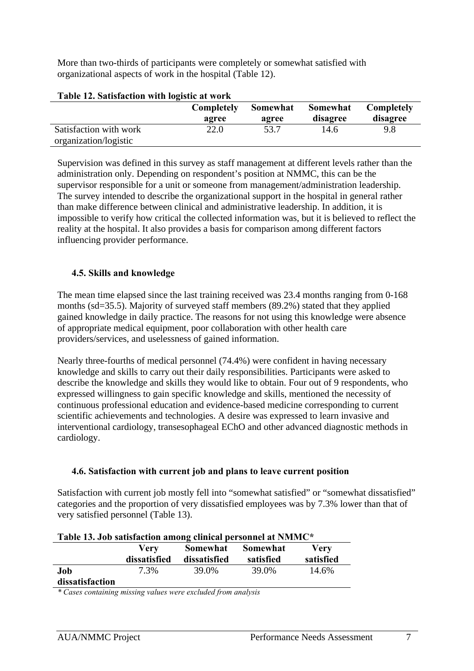More than two-thirds of participants were completely or somewhat satisfied with organizational aspects of work in the hospital (Table 12).

| <b>Table 12. Satisfaction with logistic at work</b> |            |          |          |            |
|-----------------------------------------------------|------------|----------|----------|------------|
|                                                     | Completely | Somewhat | Somewhat | Completely |
|                                                     | agree      | agree    | disagree | disagree   |
| Satisfaction with work                              | 22.0       | 53.7     | 14.6     | 9.8        |
| organization/logistic                               |            |          |          |            |

**Table 12. Satisfaction with logistic at work** 

Supervision was defined in this survey as staff management at different levels rather than the administration only. Depending on respondent's position at NMMC, this can be the supervisor responsible for a unit or someone from management/administration leadership. The survey intended to describe the organizational support in the hospital in general rather than make difference between clinical and administrative leadership. In addition, it is impossible to verify how critical the collected information was, but it is believed to reflect the reality at the hospital. It also provides a basis for comparison among different factors influencing provider performance.

#### **4.5. Skills and knowledge**

The mean time elapsed since the last training received was 23.4 months ranging from 0-168 months (sd=35.5). Majority of surveyed staff members (89.2%) stated that they applied gained knowledge in daily practice. The reasons for not using this knowledge were absence of appropriate medical equipment, poor collaboration with other health care providers/services, and uselessness of gained information.

Nearly three-fourths of medical personnel (74.4%) were confident in having necessary knowledge and skills to carry out their daily responsibilities. Participants were asked to describe the knowledge and skills they would like to obtain. Four out of 9 respondents, who expressed willingness to gain specific knowledge and skills, mentioned the necessity of continuous professional education and evidence-based medicine corresponding to current scientific achievements and technologies. A desire was expressed to learn invasive and interventional cardiology, transesophageal EChO and other advanced diagnostic methods in cardiology.

#### **4.6. Satisfaction with current job and plans to leave current position**

Satisfaction with current job mostly fell into "somewhat satisfied" or "somewhat dissatisfied" categories and the proportion of very dissatisfied employees was by 7.3% lower than that of very satisfied personnel (Table 13).

|  |  | Table 13. Job satisfaction among clinical personnel at NMMC* |  |  |
|--|--|--------------------------------------------------------------|--|--|
|--|--|--------------------------------------------------------------|--|--|

|                        | Verv         | Somewhat     | Somewhat  | Verv      |
|------------------------|--------------|--------------|-----------|-----------|
|                        | dissatisfied | dissatisfied | satisfied | satisfied |
| Job<br>dissatisfaction | 7.3%         | 39.0%        | 39.0%     | 14.6%     |

*\* Cases containing missing values were excluded from analysis*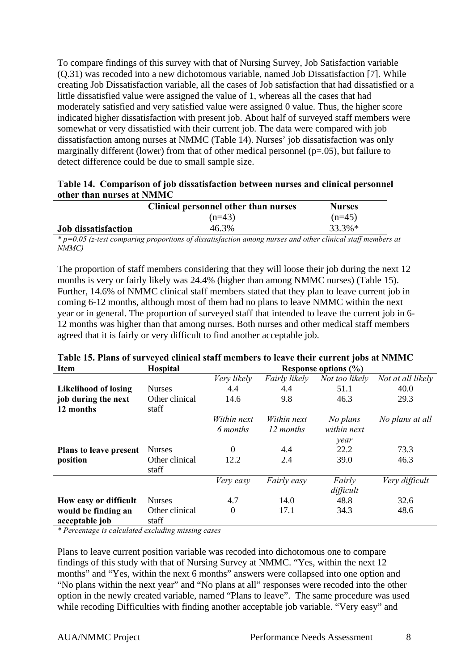To compare findings of this survey with that of Nursing Survey, Job Satisfaction variable (Q.31) was recoded into a new dichotomous variable, named Job Dissatisfaction [7]. While creating Job Dissatisfaction variable, all the cases of Job satisfaction that had dissatisfied or a little dissatisfied value were assigned the value of 1, whereas all the cases that had moderately satisfied and very satisfied value were assigned 0 value. Thus, the higher score indicated higher dissatisfaction with present job. About half of surveyed staff members were somewhat or very dissatisfied with their current job. The data were compared with job dissatisfaction among nurses at NMMC (Table 14). Nurses' job dissatisfaction was only marginally different (lower) from that of other medical personnel ( $p=0.05$ ), but failure to detect difference could be due to small sample size.

#### **Table 14. Comparison of job dissatisfaction between nurses and clinical personnel other than nurses at NMMC**

|                            | Clinical personnel other than nurses | <b>Nurses</b> |
|----------------------------|--------------------------------------|---------------|
|                            | $(n=43)$                             | $(n=45)$      |
| <b>Job dissatisfaction</b> | 46.3%                                | 33.3%*        |

*\* p=0.05 (z-test comparing proportions of dissatisfaction among nurses and other clinical staff members at NMMC)* 

The proportion of staff members considering that they will loose their job during the next 12 months is very or fairly likely was 24.4% (higher than among NMMC nurses) (Table 15). Further, 14.6% of NMMC clinical staff members stated that they plan to leave current job in coming 6-12 months, although most of them had no plans to leave NMMC within the next year or in general. The proportion of surveyed staff that intended to leave the current job in 6- 12 months was higher than that among nurses. Both nurses and other medical staff members agreed that it is fairly or very difficult to find another acceptable job.

#### **Item Hospital Response options (%)** *Very likely Fairly likely Not too likely Not at all likely* **Likelihood of losing** Nurses 4.4 4.4 51.1 40.0 **job during the next 12 months** Other clinical staff 14.6 9.8 46.3 29.3 *Within next 6 months Within next 12 months No plans within next year No plans at all* **Plans to leave present** Nurses 0 4.4 22.2 73.3<br> **Plans to leave present** Nurses 0 4.4 22.2 73.3 **position** Other clinical staff 12.2 2.4 39.0 46.3 *Very easy Fairly easy Fairly difficult Very difficult* **How easy or difficult** Nurses 4.7 14.0 48.8 32.6 **would be finding an acceptable job**  Other clinical staff 0 17.1 34.3 48.6

#### **Table 15. Plans of surveyed clinical staff members to leave their current jobs at NMMC**

*\* Percentage is calculated excluding missing cases*

Plans to leave current position variable was recoded into dichotomous one to compare findings of this study with that of Nursing Survey at NMMC. "Yes, within the next 12 months" and "Yes, within the next 6 months" answers were collapsed into one option and "No plans within the next year" and "No plans at all" responses were recoded into the other option in the newly created variable, named "Plans to leave". The same procedure was used while recoding Difficulties with finding another acceptable job variable. "Very easy" and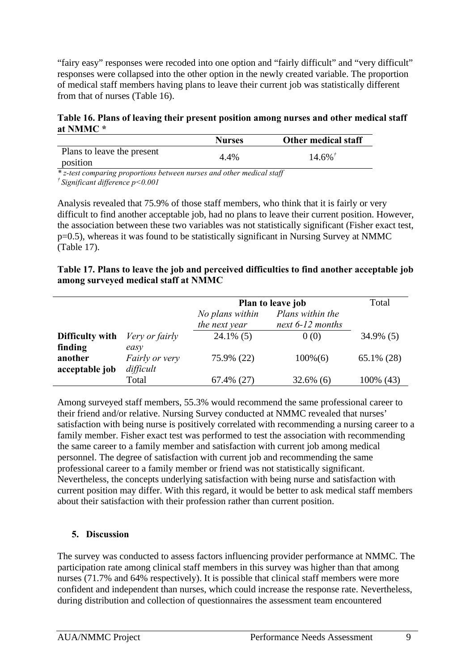"fairy easy" responses were recoded into one option and "fairly difficult" and "very difficult" responses were collapsed into the other option in the newly created variable. The proportion of medical staff members having plans to leave their current job was statistically different from that of nurses (Table 16).

#### **Table 16. Plans of leaving their present position among nurses and other medical staff at NMMC \***

|                                        | <b>Nurses</b> | Other medical staff |
|----------------------------------------|---------------|---------------------|
| Plans to leave the present<br>position | 4.4%          | $14.6\%$            |
|                                        |               | $-$                 |

*\* z-test comparing proportions between nurses and other medical staff* 

*† Significant difference p<0.001*

Analysis revealed that 75.9% of those staff members, who think that it is fairly or very difficult to find another acceptable job, had no plans to leave their current position. However, the association between these two variables was not statistically significant (Fisher exact test, p=0.5), whereas it was found to be statistically significant in Nursing Survey at NMMC (Table 17).

#### **Table 17. Plans to leave the job and perceived difficulties to find another acceptable job among surveyed medical staff at NMMC**

|                 |                       | Plan to leave job                | Total                                  |              |
|-----------------|-----------------------|----------------------------------|----------------------------------------|--------------|
|                 |                       | No plans within<br>the next year | Plans within the<br>next $6-12$ months |              |
| Difficulty with | Very or fairly        | $24.1\%$ (5)                     | 0(0)                                   | $34.9\%$ (5) |
| finding         | easy                  |                                  |                                        |              |
| another         | <i>Fairly or very</i> | 75.9% (22)                       | $100\%(6)$                             | 65.1% (28)   |
| acceptable job  | difficult             |                                  |                                        |              |
|                 | Total                 | $67.4\%$ (27)                    | $32.6\%$ (6)                           | 100% (43)    |

Among surveyed staff members, 55.3% would recommend the same professional career to their friend and/or relative. Nursing Survey conducted at NMMC revealed that nurses' satisfaction with being nurse is positively correlated with recommending a nursing career to a family member. Fisher exact test was performed to test the association with recommending the same career to a family member and satisfaction with current job among medical personnel. The degree of satisfaction with current job and recommending the same professional career to a family member or friend was not statistically significant. Nevertheless, the concepts underlying satisfaction with being nurse and satisfaction with current position may differ. With this regard, it would be better to ask medical staff members about their satisfaction with their profession rather than current position.

#### **5. Discussion**

The survey was conducted to assess factors influencing provider performance at NMMC. The participation rate among clinical staff members in this survey was higher than that among nurses (71.7% and 64% respectively). It is possible that clinical staff members were more confident and independent than nurses, which could increase the response rate. Nevertheless, during distribution and collection of questionnaires the assessment team encountered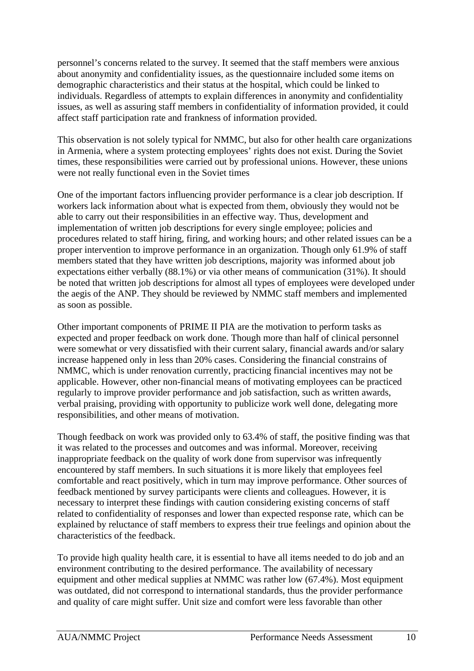personnel's concerns related to the survey. It seemed that the staff members were anxious about anonymity and confidentiality issues, as the questionnaire included some items on demographic characteristics and their status at the hospital, which could be linked to individuals. Regardless of attempts to explain differences in anonymity and confidentiality issues, as well as assuring staff members in confidentiality of information provided, it could affect staff participation rate and frankness of information provided.

This observation is not solely typical for NMMC, but also for other health care organizations in Armenia, where a system protecting employees' rights does not exist. During the Soviet times, these responsibilities were carried out by professional unions. However, these unions were not really functional even in the Soviet times

One of the important factors influencing provider performance is a clear job description. If workers lack information about what is expected from them, obviously they would not be able to carry out their responsibilities in an effective way. Thus, development and implementation of written job descriptions for every single employee; policies and procedures related to staff hiring, firing, and working hours; and other related issues can be a proper intervention to improve performance in an organization. Though only 61.9% of staff members stated that they have written job descriptions, majority was informed about job expectations either verbally (88.1%) or via other means of communication (31%). It should be noted that written job descriptions for almost all types of employees were developed under the aegis of the ANP. They should be reviewed by NMMC staff members and implemented as soon as possible.

Other important components of PRIME II PIA are the motivation to perform tasks as expected and proper feedback on work done. Though more than half of clinical personnel were somewhat or very dissatisfied with their current salary, financial awards and/or salary increase happened only in less than 20% cases. Considering the financial constrains of NMMC, which is under renovation currently, practicing financial incentives may not be applicable. However, other non-financial means of motivating employees can be practiced regularly to improve provider performance and job satisfaction, such as written awards, verbal praising, providing with opportunity to publicize work well done, delegating more responsibilities, and other means of motivation.

Though feedback on work was provided only to 63.4% of staff, the positive finding was that it was related to the processes and outcomes and was informal. Moreover, receiving inappropriate feedback on the quality of work done from supervisor was infrequently encountered by staff members. In such situations it is more likely that employees feel comfortable and react positively, which in turn may improve performance. Other sources of feedback mentioned by survey participants were clients and colleagues. However, it is necessary to interpret these findings with caution considering existing concerns of staff related to confidentiality of responses and lower than expected response rate, which can be explained by reluctance of staff members to express their true feelings and opinion about the characteristics of the feedback.

To provide high quality health care, it is essential to have all items needed to do job and an environment contributing to the desired performance. The availability of necessary equipment and other medical supplies at NMMC was rather low (67.4%). Most equipment was outdated, did not correspond to international standards, thus the provider performance and quality of care might suffer. Unit size and comfort were less favorable than other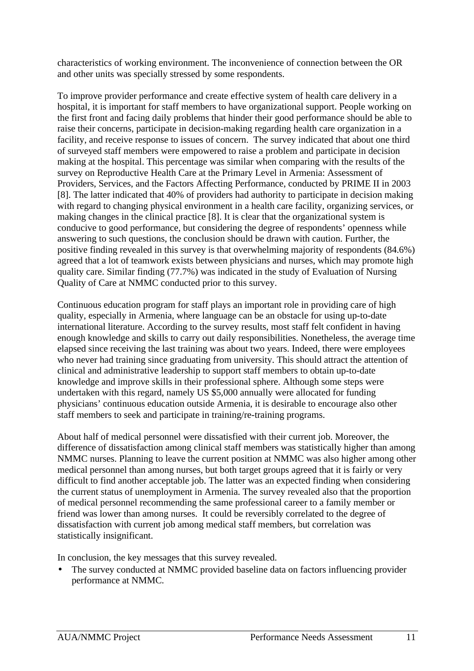characteristics of working environment. The inconvenience of connection between the OR and other units was specially stressed by some respondents.

To improve provider performance and create effective system of health care delivery in a hospital, it is important for staff members to have organizational support. People working on the first front and facing daily problems that hinder their good performance should be able to raise their concerns, participate in decision-making regarding health care organization in a facility, and receive response to issues of concern. The survey indicated that about one third of surveyed staff members were empowered to raise a problem and participate in decision making at the hospital. This percentage was similar when comparing with the results of the survey on Reproductive Health Care at the Primary Level in Armenia: Assessment of Providers, Services, and the Factors Affecting Performance, conducted by PRIME II in 2003 [8]. The latter indicated that 40% of providers had authority to participate in decision making with regard to changing physical environment in a health care facility, organizing services, or making changes in the clinical practice [8]. It is clear that the organizational system is conducive to good performance, but considering the degree of respondents' openness while answering to such questions, the conclusion should be drawn with caution. Further, the positive finding revealed in this survey is that overwhelming majority of respondents (84.6%) agreed that a lot of teamwork exists between physicians and nurses, which may promote high quality care. Similar finding (77.7%) was indicated in the study of Evaluation of Nursing Quality of Care at NMMC conducted prior to this survey.

Continuous education program for staff plays an important role in providing care of high quality, especially in Armenia, where language can be an obstacle for using up-to-date international literature. According to the survey results, most staff felt confident in having enough knowledge and skills to carry out daily responsibilities. Nonetheless, the average time elapsed since receiving the last training was about two years. Indeed, there were employees who never had training since graduating from university. This should attract the attention of clinical and administrative leadership to support staff members to obtain up-to-date knowledge and improve skills in their professional sphere. Although some steps were undertaken with this regard, namely US \$5,000 annually were allocated for funding physicians' continuous education outside Armenia, it is desirable to encourage also other staff members to seek and participate in training/re-training programs.

About half of medical personnel were dissatisfied with their current job. Moreover, the difference of dissatisfaction among clinical staff members was statistically higher than among NMMC nurses. Planning to leave the current position at NMMC was also higher among other medical personnel than among nurses, but both target groups agreed that it is fairly or very difficult to find another acceptable job. The latter was an expected finding when considering the current status of unemployment in Armenia. The survey revealed also that the proportion of medical personnel recommending the same professional career to a family member or friend was lower than among nurses. It could be reversibly correlated to the degree of dissatisfaction with current job among medical staff members, but correlation was statistically insignificant.

In conclusion, the key messages that this survey revealed.

The survey conducted at NMMC provided baseline data on factors influencing provider performance at NMMC.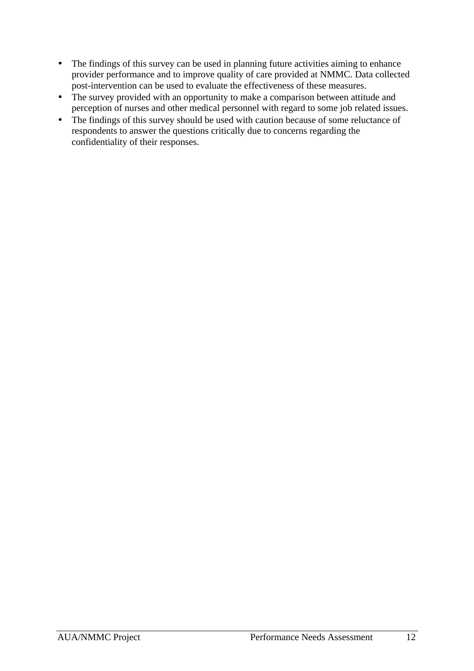- The findings of this survey can be used in planning future activities aiming to enhance provider performance and to improve quality of care provided at NMMC. Data collected post-intervention can be used to evaluate the effectiveness of these measures.
- The survey provided with an opportunity to make a comparison between attitude and perception of nurses and other medical personnel with regard to some job related issues.
- The findings of this survey should be used with caution because of some reluctance of respondents to answer the questions critically due to concerns regarding the confidentiality of their responses.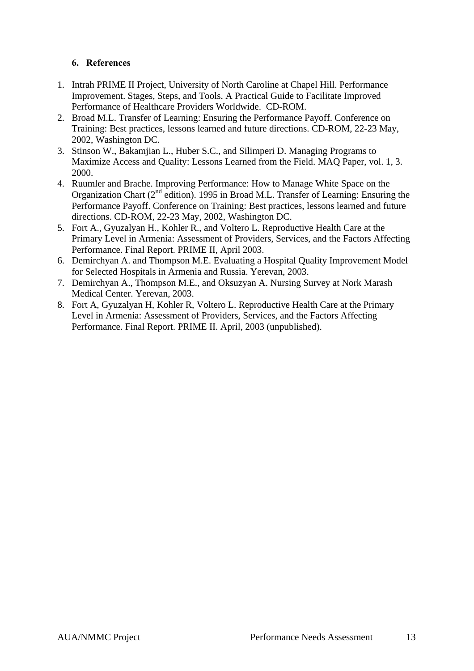#### **6. References**

- 1. Intrah PRIME II Project, University of North Caroline at Chapel Hill. Performance Improvement. Stages, Steps, and Tools. A Practical Guide to Facilitate Improved Performance of Healthcare Providers Worldwide. CD-ROM.
- 2. Broad M.L. Transfer of Learning: Ensuring the Performance Payoff. Conference on Training: Best practices, lessons learned and future directions. CD-ROM, 22-23 May, 2002, Washington DC.
- 3. Stinson W., Bakamjian L., Huber S.C., and Silimperi D. Managing Programs to Maximize Access and Quality: Lessons Learned from the Field. MAQ Paper, vol. 1, 3. 2000.
- 4. Ruumler and Brache. Improving Performance: How to Manage White Space on the Organization Chart (2<sup>nd</sup> edition). 1995 in Broad M.L. Transfer of Learning: Ensuring the Performance Payoff. Conference on Training: Best practices, lessons learned and future directions. CD-ROM, 22-23 May, 2002, Washington DC.
- 5. Fort A., Gyuzalyan H., Kohler R., and Voltero L. Reproductive Health Care at the Primary Level in Armenia: Assessment of Providers, Services, and the Factors Affecting Performance. Final Report. PRIME II, April 2003.
- 6. Demirchyan A. and Thompson M.E. Evaluating a Hospital Quality Improvement Model for Selected Hospitals in Armenia and Russia. Yerevan, 2003.
- 7. Demirchyan A., Thompson M.E., and Oksuzyan A. Nursing Survey at Nork Marash Medical Center. Yerevan, 2003.
- 8. Fort A, Gyuzalyan H, Kohler R, Voltero L. Reproductive Health Care at the Primary Level in Armenia: Assessment of Providers, Services, and the Factors Affecting Performance. Final Report. PRIME II. April, 2003 (unpublished).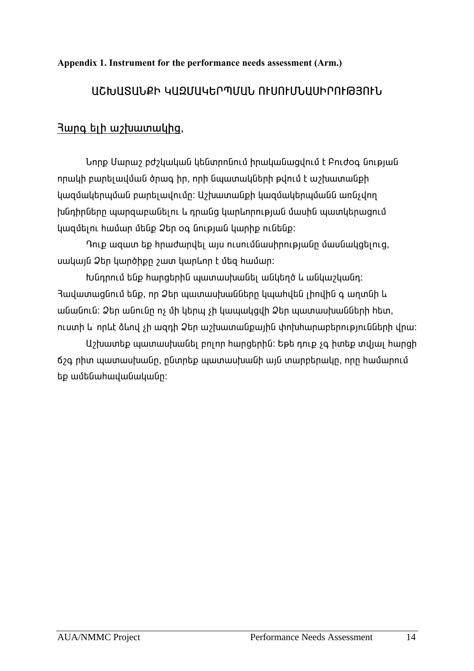## Appendix 1. Instrument for the performance needs assessment (Arm.)

# ԱՇԽԱՏԱՆՔԻ ԿԱՁՄԱԿԵՐՊՄԱՆ ՈՒՍՈՒՄՆԱՍԻՐՈՒԹՅՈՒՆ

# Rung tih witumulung,

Նորք Մարաշ բժշկական կենտրոնում իրականացվում է Բուժօգ նության որակի բարելավման ծրագ իր, որի նպատակների թվում է աշխատանքի կազմակերպման բարելավումը։ Աշխատանքի կազմակերպմանն առնչվող խնդիրները պարզաբանելու և դրանց կարևորության մասին պատկերացում կազմելու համար մենք Ձեր օգ նության կարիք ունենք:

Դուք ազատ եք հրաժարվել այս ուսումնասիրությանը մասնակցելուց, սակայն Ձեր կարծիքը շատ կարևոր է մեզ համար։

Խնդրում ենք հարցերին պատասխանել անկեղծ և անկաշկանդ։ <u> Յավատացնում ենք, որ Ձեր պատասխանները կպաիվեն լիովին գ աղտնի և</u> անանուն։ Ձեր անունը ոչ մի կերպ չի կապակցվի Ձեր պատասխանների հետ, ուստի և՝ որևէ ձևով չի ազդի Ձեր աշխատանքային փոխիարաբերությունների վրա։

Աշխատեք պատասխանել բոլոր հարցերին։ Եթե դուք չգ իտեք տվյալ հարցի ճշգ րիտ պատասխանը, ընտրեք պատասխանի այն տարբերակը, որը համարում եք ամենահավանականը: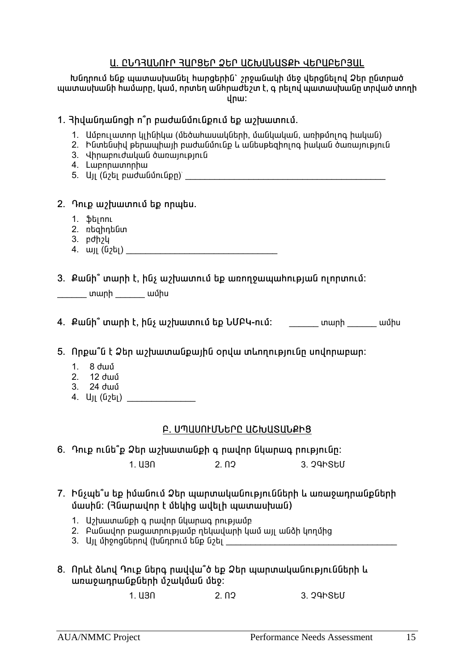#### Ա. ԸՆԴՅԱՆՈՒՐ ՅԱՐՑԵՐ ՁԵՐ ԱՇԽԱՆԱՏՔԻ ՎԵՐԱԲԵՐՅԱԼ

#### Խնդրում ենք պատասխանել հարցերին` շրջանակի մեջ վերցնելով Ձեր ընտրած պատասխանի համարը, կամ, որտեղ անհրաժեշտ է, գ րելով պատասխանը տրված տողի  $l$ n $u$ :

#### 1. 3hվանդանոցի ո՞ր բաժանմունքում եք աշխատում.

- 1. Ամբուլատոր կլինիկա (մեծաիասակների, մանկական, առիթմոլոգ իական)
- 2. Ինտենսիվ թերապիայի բաժանմունք և անեսթեցիոլոգ իական ծառայություն
- 3. Վիրաբուժական ծառայություն
- 4. Lwpnnwunnnhw
- 

#### 2. Դուք աշխատում եք որպես.

- 1. \$tinnL
- 2. ռեզիդենտ
- $3.$   $pdh_2$
- 4.  $\omega_{\text{J}1}$  (G<sub>2</sub>t<sub>1</sub>)

### 3. Քանի՞ տարի է, ինչ աշխատում եք առորջապաիության ուրդտում:

տարի ամիս

4. Քանի՞ տարի է, ինչ աշխատում եք ՆՄԲԿ-ում: այդ արի այդ ամիս

# 5. Որքա՞ն է Ձեր աշխատանքային օրվա տևողությունը սովորաբար:

- $1.8$  dw $\delta$
- 2. 12 dwu
- 3. 24 dwu
- 4.  $U_{||}$  (02tr)

# Բ. ՍՊԱՍՈԻՄՆԵՐԸ ԱՇԽԱՏԱՆՔԻՑ

6. Դուք ունե՞ք Ձեր աշխատանքի գ րավոր նկարագ րությունը:

 $2.02$ 1. U3N 3. 29hStU

#### 7. Ինչպե՞ս եք իմանում Ձեր պարտականությունների և առաջադրանքների մասին:  $A$ նարավոր է մեկից ավելի պատասխան)

- 1. Աշխատանքի գ րավոր նկարագ րությամբ
- 2. Բանավոր բացատրությամբ ղեկավարի կամ այլ անձի կողմից
- 3.  $U_{\parallel}$  միջոցներով (խնդրում ենք նշել
- 8. Որևէ ձևով Դուք ներգ րավվա՞ծ եք Ձեր պարտականությունների և առաջադրանքների մշակման մեջ:

 $1$  U<sub>30</sub>  $2\,$   $02\,$  $3$  24 $h$ S $h$ II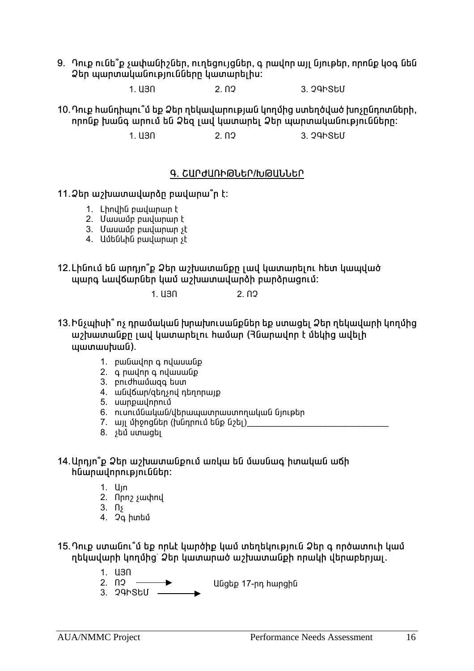9. Դուք ունե՞ք չափանիշներ, ուղեցույցներ, գ րավոր այլ նյութեր, որոնք կօգ նեն Չեր պարտականությունները կատարելիս։

> $1$  U<sub>30</sub>  $202$ 3. 29hStU

10. Դուք հանդիպու՞մ եք Ձեր ղեկավարության կողմից ստեղծված խոչընդոտների, որոնք խանգ արում են Ձեզ լավ կատարել Ձեր պարտականությունները։

> $1$   $1130$  $200$  $3.29hSHI$

### Գ. ՇԱՐԺԱՌԻԹՆԵՐ/ԽԹԱՆՆԵՐ

#### $11.2$ եր աշխատավարձը բավարա՞ր է։

- 1. Lhnyhū pwywnwn t
- 2. Uwuwup pwywnwn t
- 3. Մասամբ բավարար չէ
- 4. Ամենևին բավարար չէ

12. Լինում են արդյո՞ք Ձեր աշխատանքը լավ կատարելու իետ կաաված պարգ ևավճարներ կամ աշխատավարձի բարձրացում:

> $1$   $1130$  $200$

13.Ինչպիսի՞ ոչ դրամական խրախուսանքներ եք ստացել Ձեր ղեկավարի կողմից աշխատանքը լավ կատարելու համար (Յնարավոր է մեկից ավելի  $mu$ umuuhuu $\Omega$ 

- 1. բանավոր գ ովասանք
- 2. q nwynn q nywywy
- 3. pnLdhwuuqq buun
- 4. անվճար/զեղչով դեղորայք
- 5. uwnpwynnnu
- 6. ուսումնական/վերապատրաստողական նյութեր
- 7. այլ միջոցներ (խնդրում ենք նշել)
- 8. *s*tմ umwgt

14. Արդյո՞ք Ձեր աշխատանքում առկա են մասնագ իտական աճի **ինարավորություններ**։

- $1.$  U<sub>In</sub>
- 2. nnn2 swuhnu
- $3. \quad \Omega$
- 4. Չգ իտեմ

15. Դուք ստանու՞մ եք որևէ կարծիք կամ տեղեկություն Ձեր գ ործատուի կամ ղեկավարի կողմից՝ Ձեր կատարած աշխատանքի որակի վերաբերյալ.

- $1$   $1130$
- $2.02$ Անցեք 17-րդ հարցին 3. 24hStU -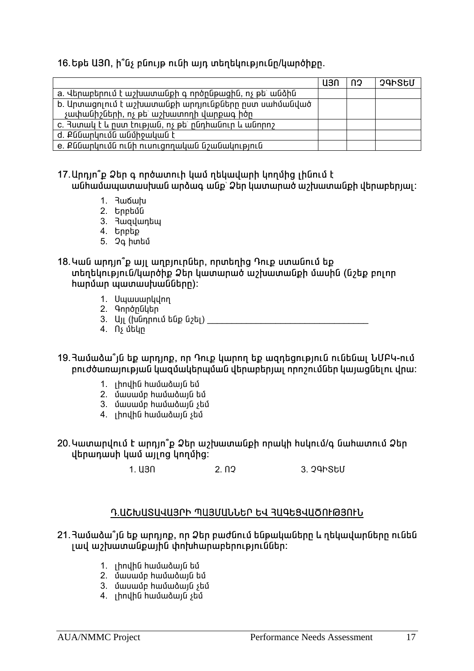#### 16. Եթե ԱՅՈ, ի՞նչ բնույթ ունի այդ տեղեկությունը/կարծիքը.

|                                                             | изг | በጋ | <b>29hStU</b> |
|-------------------------------------------------------------|-----|----|---------------|
| a. Վերաբերում է աշխատանքի գ ործընթացին, ոչ թե՝ անձին        |     |    |               |
| <u>b. Արտացոլում է աշխատանքի արդյունքները ըստ սահմանված</u> |     |    |               |
| չափանիշների, ոչ թե` աշխատողի վարքագ իծը                     |     |    |               |
| c. Յստակ է և ըստ էության, ոչ թե` ընդհանուր և անորոշ         |     |    |               |
| d. Քննարկումն անմիջական է                                   |     |    |               |
| e. Քննարկումն ունի ուսուցողական նշանակություն               |     |    |               |

#### 17. Արդյո՞ք Ձեր գ ործատուի կամ ղեկավարի կողմից լինում է անիամապատասխան արձագ անք՝ Ձեր կատարած աշխատանքի վերաբերյալ:

- 1. Rudulu
- 2. Երբեմն
- 3. Rugyuntu
- 4. tnpbp
- 5. 2<sub>0</sub> իտեմ

#### 18. Կան արդյո՞ք այլ աղբյուրներ, որտեղից Դուք ստանում եք տեղեկություն/կարծիք Ձեր կատարած աշխատանքի մասին (նշեք բոլոր <u>hաnմաn ապտասխանները):</u>

- 1. Սպասարկվող
- 2. Գործրնկեր
- 3. Այլ (խնդրում ենք նշել)  $\overline{\phantom{a}}$
- 4. Ոչ մեկր

19. Յամաձա՞յն եք արդյոք, որ Դուք կարող եք ազդեցություն ունենալ ՆՄԲԿ-ում բուժծառայության կազմակերպման վերաբերյալ որոշումներ կայացնելու վրա։

- 1. լիովին hամաձայն եմ
- 2. մասամբ hամաձայն եմ
- 3. մասամբ hամաձայն չեմ
- 4. լիովին իամաձայն չեմ

20. Կատարվում է արդյո՞թ Ձեր աշխատանքի որակի հսկում/գ նահատում Ձեր վերադասի կամ այլոց կողմից:

> $1.$  U<sub>30</sub>  $2.02$ 3.29hStU

#### Դ.ԱՇԽԱՏԱՎԱՅՐԻ ՊԱՅՄԱՆՆԵՐ ԵՎ ՅԱԳԵՑՎԱԾՈՒԹՅՈՒՆ

#### 21. Յամաձա՞յն եք արդյոք, որ Ձեր բաժնում ենթակաները և ղեկավարները ունեն յավ աշխատանքային փոխիարաբերություններ։

- 1. լիովին իամաձայն եմ
- 2. մասամբ համաձայն եմ
- 3. մասամբ hամաձայն sեմ
- 4. լիովին համաձայն չեմ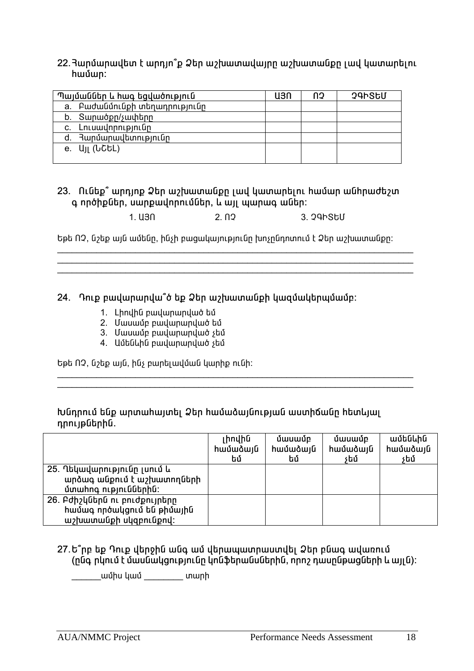#### 22. Յարմարավետ է արդյո՞ք Ձեր աշխատավայրը աշխատանքը լավ կատարելու hwuwn:

| Պայմաններ և հագ եցվածություն  | usn | N2 | <b>29hStU</b> |
|-------------------------------|-----|----|---------------|
| a. Բաժանմունքի տեղադրությունը |     |    |               |
| b. Sարածքը/չափերը             |     |    |               |
| c. Lnւսավորությունը           |     |    |               |
| d. <b>3</b> արմարավետությունը |     |    |               |
| e. $U_{\parallel}$ ( $U$ CtL) |     |    |               |
|                               |     |    |               |

#### 23. Ունեք՞ արդյոք Ձեր աշխատանքը լավ կատարելու համար անհրաժեշտ գ ործիքներ, սարքավորումներ, և այլ պարագ աներ։

 $1$  USQ  $202$  $3.29hSLI$ 

Եթե ՈՉ, նշեք այն ամենը, ինչի բացակայությունը խոչընդոտում է Ձեր աշխատանքը։

#### 24. Դուք բավարարվա՞ծ եք Ձեր աշխատանքի կազմակերպմամբ։

- 1. Lhnuhū pwulwnwnuwo tu
- 2. Մասամբ բավարարված եմ
- 3. Մասամբ բավարարված չեմ
- 4. Ամենևին բավարարված չեմ

Եթե ՈՉ, նշեք այն, ինչ բարելավման կարիք ունի:

#### խնդրում ենք արտահայտել Ձեր համաձայնության աստիճանը հետևյալ nnnypūtnhū.

|                                   | լիովին   | մասամբ   | մասամբ   | ամենևին  |
|-----------------------------------|----------|----------|----------|----------|
|                                   | hամաձայն | hամաձայն | hամաձայն | hամաձայն |
|                                   | եմ       | եմ       | չեմ      | չեմ      |
| 25. Ղեկավարությունը լսում և       |          |          |          |          |
| արձագ անքում է աշխատողների        |          |          |          |          |
| մտաիոգ ություններին:              |          |          |          |          |
| 26. Բժիշկներն ու բուժքույրերը     |          |          |          |          |
| <u>hամագ ործակցում են թիմային</u> |          |          |          |          |
| աշխատանքի սկզբունքով:             |          |          |          |          |

### 27.Ե՞րբ եք Դուք վերջին անգ ամ վերապատրաստվել Ձեր բնագ ավառում (րնգ րկում է մասնակցությունը կոնֆերանսներին, որոշ դասրնթացների և այլն)։

\_\_\_\_\_\_\_\_\_\_\_\_\_\_\_\_\_uմիս կամ \_\_\_\_\_\_\_\_\_\_\_ տարի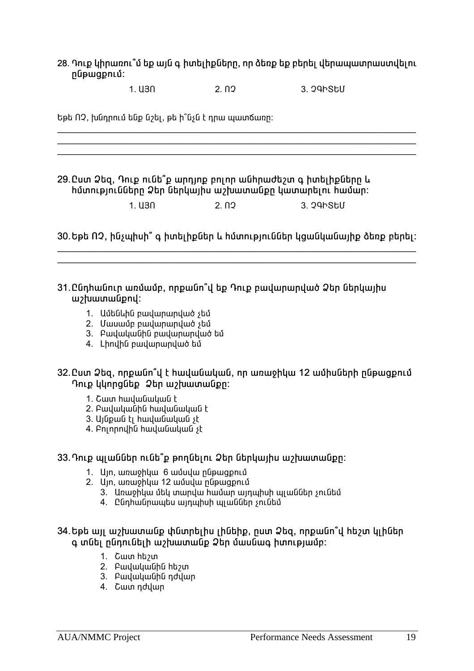#### 28. Դուք կիրառու՞մ եք այն գ իտելիքները, որ ձեռք եք բերել վերապատրաստվելու nupwapniu:

 $2.02$  $1.  $U30$$ 3. 24h StU

Եթե ՈՉ, խնդրում ենք նշել, թե ի՞նչն է դրա պատճառը։

|  |  | 29.Ըստ Ձեզ, Դուք ունե՞ք արդյոք բոլոր անհրաժեշտ գ իտելիքները և |
|--|--|---------------------------------------------------------------|
|  |  | հմտությունները Ձեր ներկայիս աշխատանքը կատարելու համար։        |

| 1. U3N | 2. N <sub>2</sub> | 3. 29hStU |
|--------|-------------------|-----------|
|        |                   |           |

| 30 Եթե ՈՉ, ինչպիսի՞ գ իտելիքներ և հմտություններ կցանկանայիք ձեռք բերել: |  |  |  |  |
|-------------------------------------------------------------------------|--|--|--|--|
|-------------------------------------------------------------------------|--|--|--|--|

#### 31.Ընդիանուր առմամբ, որքանո՞վ եք Դուք բավարարված Ձեր ներկայիս w<sub>2</sub> hummuu upnu

- 1. Ամենևին բավարարված չեմ
- 2. Մասամբ բավարարված չեմ
- 3. Բավականին բավարարված եմ
- 4. Լիովին բավարարված եմ

#### 32. Ըստ Ձեզ, որքանո՞վ է հավանական, որ առաջիկա 12 ամիսների ընթագթում **Onlp unngutp 2tn w/wwwwupn:**

- 1. Շատ հավանական է
- 2. Բավականին իավանական է
- 3. Այնքան էլ hավանական st
- 4. Pninnnuhū hwywūwywū st

#### 33. Դուք պլաններ ունե՞ք թողնելու Ձեր ներկայիս աշխատանքը:

- 1. Այո, առաջիկա 6 ամսվա ընթացքում
- 2. Ujn, առաջիկա 12 ամսվա ընթացքում
	- 3. Unwohlu մեկ տարվա hամար այդպիսի պլաններ չունեմ
	- 4. Ընդիանրապես այդպիսի պյաններ չունեմ

#### 34.Եթե այլ աշխատանք փնտրելիս լինեիք, ըստ Ձեզ, որքանո՞վ հեշտ կլիներ գ տնել ընդունելի աշխատանք Ձեր մասնագ իտությամբ։

- 1. Cwn hton
- 2. PwywywGhG httpm
- 3. PwywywGhG ndywn
- 4. Cww ndywn